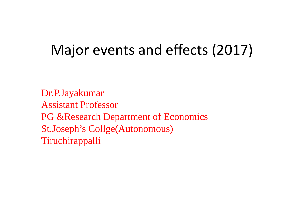### Major events and effects (2017)

Dr.P.Jayakumar Assistant Professor PG &Research Department of Economics St.Joseph's Collge(Autonomous) Tiruchirappalli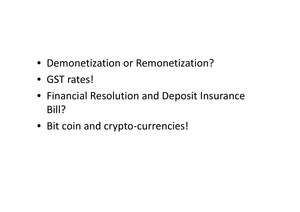- Demonetization or Remonetization?
- GST rates!
- Financial Resolution and Deposit Insurance Bill?
- Bit coin and crypto-currencies!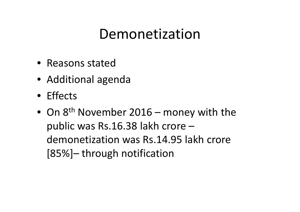- Reasons stated
- Additional agenda
- Effects
- On 8<sup>th</sup> November 2016 money with the public was Rs.16.38 lakh crore – demonetization was Rs.14.95 lakh crore [85%]– through notification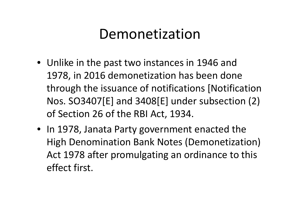- Unlike in the past two instances in 1946 and 1978, in 2016 demonetization has been done through the issuance of notifications [Notification Nos. SO3407[E] and 3408[E] under subsection (2) of Section 26 of the RBI Act, 1934.
- In 1978, Janata Party government enacted the High Denomination Bank Notes (Demonetization) Act 1978 after promulgating an ordinance to this effect first.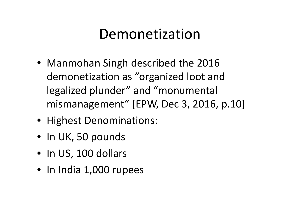- Manmohan Singh described the 2016 demonetization as "organized loot and legalized plunder" and "monumental mismanagement" [EPW, Dec 3, 2016, p.10]
- Highest Denominations:
- In UK, 50 pounds
- In US, 100 dollars
- In India 1,000 rupees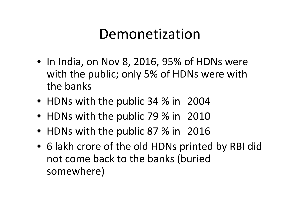- In India, on Nov 8, 2016, 95% of HDNs were with the public; only 5% of HDNs were with the banks
- HDNs with the public 34 % in 2004
- HDNs with the public 79 % in 2010
- HDNs with the public 87 % in 2016
- 6 lakh crore of the old HDNs printed by RBI did not come back to the banks (buried somewhere)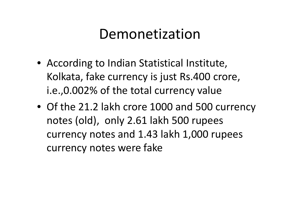- According to Indian Statistical Institute, Kolkata, fake currency is just Rs.400 crore, i.e.,0.002% of the total currency value
- Of the 21.2 lakh crore 1000 and 500 currency notes (old), only 2.61 lakh 500 rupees currency notes and 1.43 lakh 1,000 rupees currency notes were fake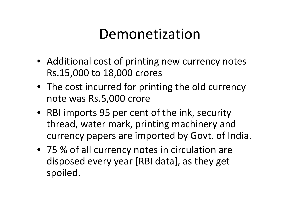- Additional cost of printing new currency notes Rs.15,000 to 18,000 crores
- The cost incurred for printing the old currency note was Rs.5,000 crore
- RBI imports 95 per cent of the ink, security thread, water mark, printing machinery and currency papers are imported by Govt. of India.
- 75 % of all currency notes in circulation are disposed every year [RBI data], as they get spoiled.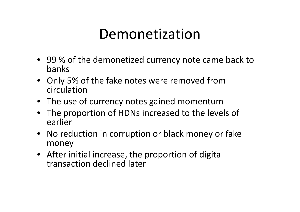- 99 % of the demonetized currency note came back to banks
- Only 5% of the fake notes were removed from circulation
- The use of currency notes gained momentum
- The proportion of HDNs increased to the levels of earlier
- No reduction in corruption or black money or fake money
- After initial increase, the proportion of digital transaction declined later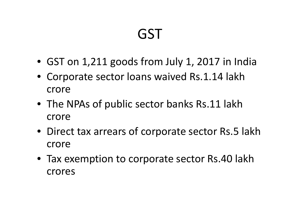- GST on 1,211 goods from July 1, 2017 in India
- Corporate sector loans waived Rs.1.14 lakh crore
- The NPAs of public sector banks Rs.11 lakh crore
- Direct tax arrears of corporate sector Rs.5 lakh crore
- Tax exemption to corporate sector Rs.40 lakh crores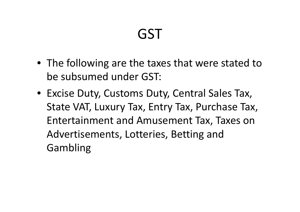- The following are the taxes that were stated to be subsumed under GST:
- Excise Duty, Customs Duty, Central Sales Tax, State VAT, Luxury Tax, Entry Tax, Purchase Tax, Entertainment and Amusement Tax, Taxes on Advertisements, Lotteries, Betting and Gambling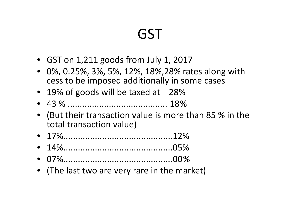- GST on 1,211 goods from July 1, 2017
- 0%, 0.25%, 3%, 5%, 12%, 18%,28% rates along with cess to be imposed additionally in some cases
- 19% of goods will be taxed at 28%
- 43 % ......................................... 18%
- (But their transaction value is more than 85 % in the total transaction value)
- 17%.............................................12%
- 14%.............................................05%
- 07%.............................................00%
- (The last two are very rare in the market)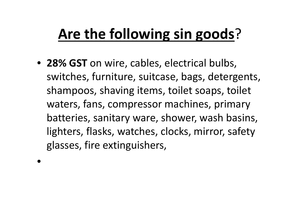# **Are the following sin goods**?

• **28% GST** on wire, cables, electrical bulbs, switches, furniture, suitcase, bags, detergents, shampoos, shaving items, toilet soaps, toilet waters, fans, compressor machines, primary batteries, sanitary ware, shower, wash basins, lighters, flasks, watches, clocks, mirror, safety glasses, fire extinguishers,

•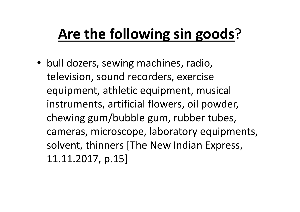# **Are the following sin goods**?

• bull dozers, sewing machines, radio, television, sound recorders, exercise equipment, athletic equipment, musical instruments, artificial flowers, oil powder, chewing gum/bubble gum, rubber tubes, cameras, microscope, laboratory equipments, solvent, thinners [The New Indian Express, 11.11.2017, p.15]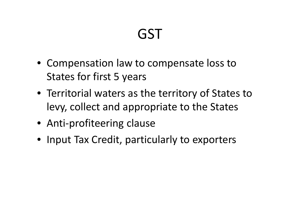- Compensation law to compensate loss to States for first 5 years
- Territorial waters as the territory of States to levy, collect and appropriate to the States
- Anti-profiteering clause
- Input Tax Credit, particularly to exporters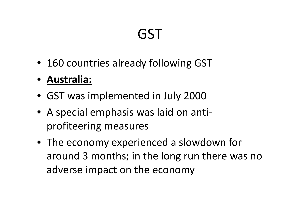- 160 countries already following GST
- **Australia:**
- GST was implemented in July 2000
- A special emphasis was laid on anti profiteering measures
- The economy experienced a slowdown for around 3 months; in the long run there was no adverse impact on the economy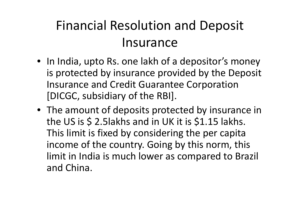### Financial Resolution and Deposit Insurance

- In India, upto Rs. one lakh of a depositor's money is protected by insurance provided by the Deposit Insurance and Credit Guarantee Corporation [DICGC, subsidiary of the RBI].
- The amount of deposits protected by insurance in the US is \$ 2.5lakhs and in UK it is \$1.15 lakhs. This limit is fixed by considering the per capita income of the country. Going by this norm, this limit in India is much lower as compared to Brazil and China.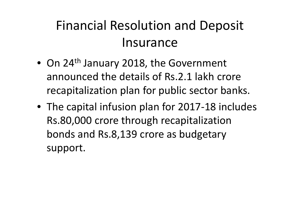### Financial Resolution and Deposit Insurance

- On 24<sup>th</sup> January 2018, the Government announced the details of Rs.2.1 lakh crore recapitalization plan for public sector banks.
- The capital infusion plan for 2017-18 includes Rs.80,000 crore through recapitalization bonds and Rs.8,139 crore as budgetary support.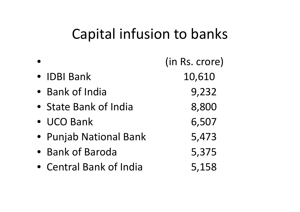### Capital infusion to banks

|                         | (in Rs. crore) |
|-------------------------|----------------|
| • IDBI Bank             | 10,610         |
| • Bank of India         | 9,232          |
| • State Bank of India   | 8,800          |
| • UCO Bank              | 6,507          |
| • Punjab National Bank  | 5,473          |
| • Bank of Baroda        | 5,375          |
| • Central Bank of India | 5,158          |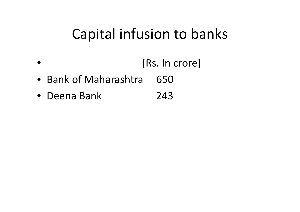### Capital infusion to banks

- [Rs. In crore]
- Bank of Maharashtra 650
- Deena Bank 243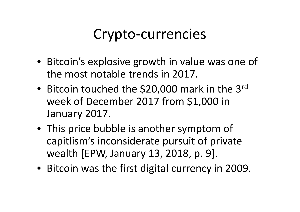### Crypto-currencies

- Bitcoin's explosive growth in value was one of the most notable trends in 2017.
- Bitcoin touched the \$20,000 mark in the 3rd week of December 2017 from \$1,000 in January 2017.
- This price bubble is another symptom of capitlism's inconsiderate pursuit of private wealth [EPW, January 13, 2018, p. 9].
- Bitcoin was the first digital currency in 2009.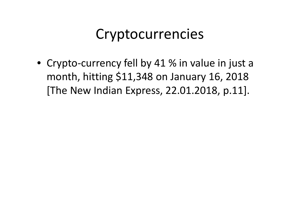### Cryptocurrencies

• Crypto-currency fell by 41 % in value in just a month, hitting \$11,348 on January 16, 2018 [The New Indian Express, 22.01.2018, p.11].